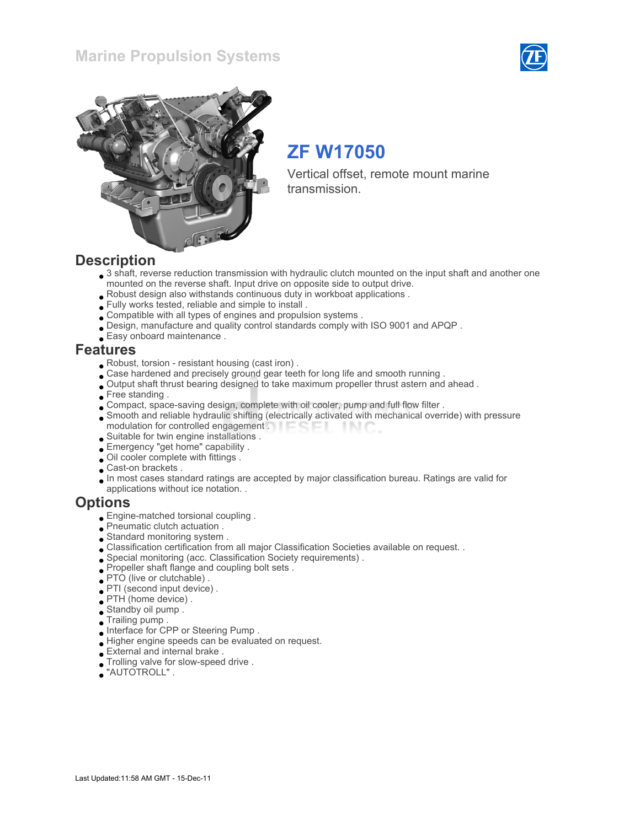### Marine Propulsion Systems





# ZF W17050

Vertical offset, remote mount marine transmission.

### **Description**

- 3 shaft, reverse reduction transmission with hydraulic clutch mounted on the input shaft and another one mounted on the reverse shaft. Input drive on opposite side to output drive.
- Robust design also withstands continuous duty in workboat applications .
- Fully works tested, reliable and simple to install .
- Compatible with all types of engines and propulsion systems .
- Design, manufacture and quality control standards comply with ISO 9001 and APQP .
- Easy onboard maintenance .

### Features

- Robust, torsion resistant housing (cast iron) .
- Case hardened and precisely ground gear teeth for long life and smooth running .
- Output shaft thrust bearing designed to take maximum propeller thrust astern and ahead .
- Free standing.
- Compact, space-saving design, complete with oil cooler, pump and full flow filter .
- Smooth and reliable hydraulic shifting (electrically activated with mechanical override) with pressure modulation for controlled engagement . **Example 20** - IN C
- Suitable for twin engine installations .
- Emergency "get home" capability .
- Oil cooler complete with fittings .
- Cast-on brackets .
- In most cases standard ratings are accepted by major classification bureau. Ratings are valid for applications without ice notation. .

### **Options**

- Engine-matched torsional coupling .
- Pneumatic clutch actuation .
- Standard monitoring system .
- Classification certification from all major Classification Societies available on request. .
- Special monitoring (acc. Classification Society requirements) .
- Propeller shaft flange and coupling bolt sets .
- PTO (live or clutchable) .
- PTI (second input device) .
- PTH (home device) .
- Standby oil pump .
- Trailing pump .
- Interface for CPP or Steering Pump .
- Higher engine speeds can be evaluated on request.
- External and internal brake .
- Trolling valve for slow-speed drive .
- "AUTOTROLL" .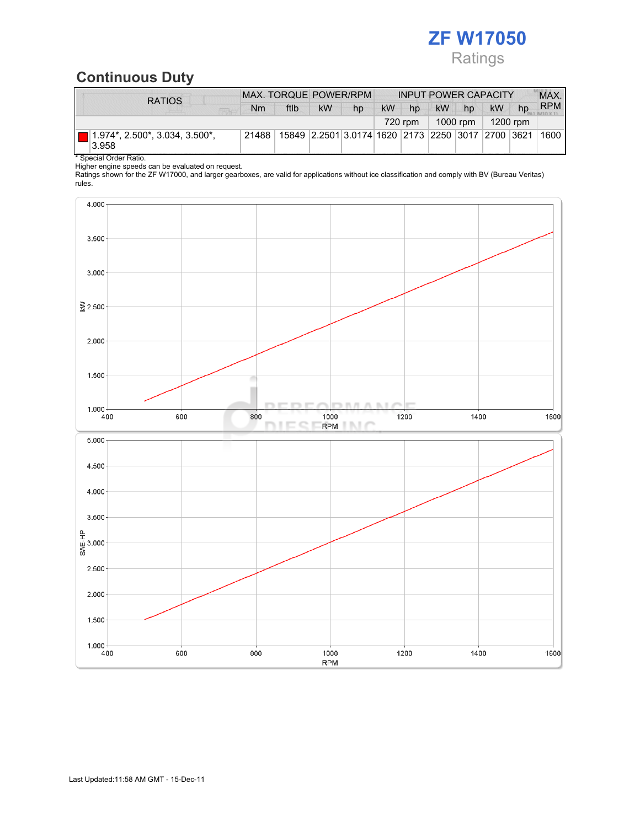

# Continuous Duty

| <b>RATIOS</b>                                 | MAX. TORQUE POWER/RPM |      |    |                                                   | <b>INPUT POWER CAPACITY</b> |         |           |          |           | MAX. |            |
|-----------------------------------------------|-----------------------|------|----|---------------------------------------------------|-----------------------------|---------|-----------|----------|-----------|------|------------|
|                                               | Nm                    | ftlb | kW | hp                                                | <b>kW</b>                   | hp      | <b>kW</b> | hp       | <b>kW</b> | hp   | <b>RPM</b> |
|                                               |                       |      |    |                                                   |                             | 720 rpm |           | 1000 rpm | 1200 rpm  |      |            |
| $(1.974^*, 2.500^*, 3.034, 3.500^*)$<br>3.958 | 21488                 |      |    | 15849 2.2501 3.0174 1620 2173 2250 3017 2700 3621 |                             |         |           |          |           |      | 1600       |

\* Special Order Ratio.

Higher engine speeds can be evaluated on request.

Ratings shown for the ZF W17000, and larger gearboxes, are valid for applications without ice classification and comply with BV (Bureau Veritas) rules.

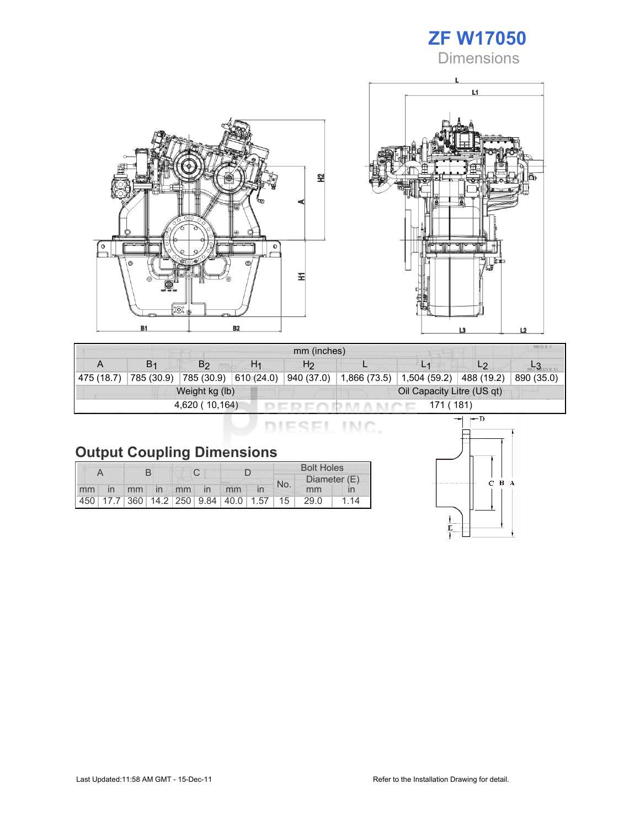





| mm (inches)                  |                       |                |                       |                            |  |                              |                |            |  |
|------------------------------|-----------------------|----------------|-----------------------|----------------------------|--|------------------------------|----------------|------------|--|
|                              | <b>B</b> <sub>1</sub> | B <sub>2</sub> | H <sub>1</sub>        | H <sub>2</sub>             |  |                              | L <sub>2</sub> |            |  |
| 475 (18.7)                   | 785 (30.9)            |                | 785 (30.9) 610 (24.0) | 940 (37.0)                 |  | $1,866(73.5)$   1,504 (59.2) | 488 (19.2)     | 890 (35.0) |  |
|                              |                       | Weight kg (lb) |                       | Oil Capacity Litre (US qt) |  |                              |                |            |  |
| 4,620 (10,164)<br>171 ( 181) |                       |                |                       |                            |  |                              |                |            |  |

DIESEL INC.

|  | <b>Output Coupling Dimensions</b> |
|--|-----------------------------------|

|    |    |             |  |  |                                                         | <b>Bolt Holes</b> |              |      |     |
|----|----|-------------|--|--|---------------------------------------------------------|-------------------|--------------|------|-----|
|    |    |             |  |  |                                                         | No.               | Diameter (E) |      |     |
| mm | in | mm in mm in |  |  | mm                                                      |                   |              | mm   |     |
|    |    |             |  |  | 450   17.7   360   14.2   250   9.84   40.0   1.57   15 |                   |              | 29.0 | 114 |

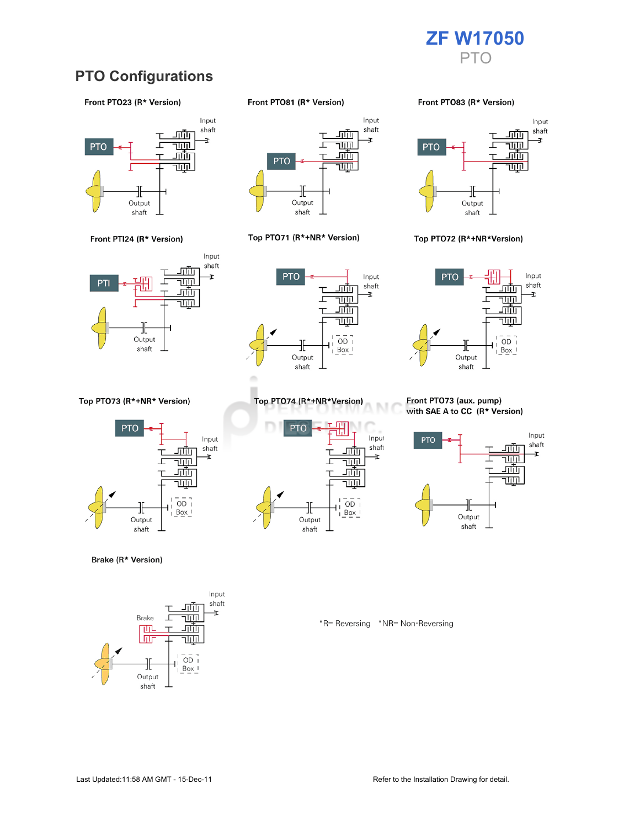

## **PTO Configurations**

#### Front PTO23 (R\* Version)



Front PTI24 (R\* Version)



Top PTO73 (R\*+NR\* Version)



Brake (R\* Version)



Front PTO81 (R\* Version)



#### Top PTO71 (R\*+NR\* Version)



Top PTO74 (R\*+NR\*Version)

╫

Output

shaft

<u>ш.</u>

г

<u>जाण</u>

च्णा

<u>गाँग</u>

<u>TUTIL</u>

 $\overline{OD}$ 

 $Box$ 

**PTO** 

#### Front PTO83 (R\* Version)



#### Top PTO72 (R\*+NR\*Version)



#### Front PTO73 (aux. pump) with SAE A to CC (R\* Version)



\*R= Reversing \*NR= Non-Reversing

M

Input

shaft

Ŧ